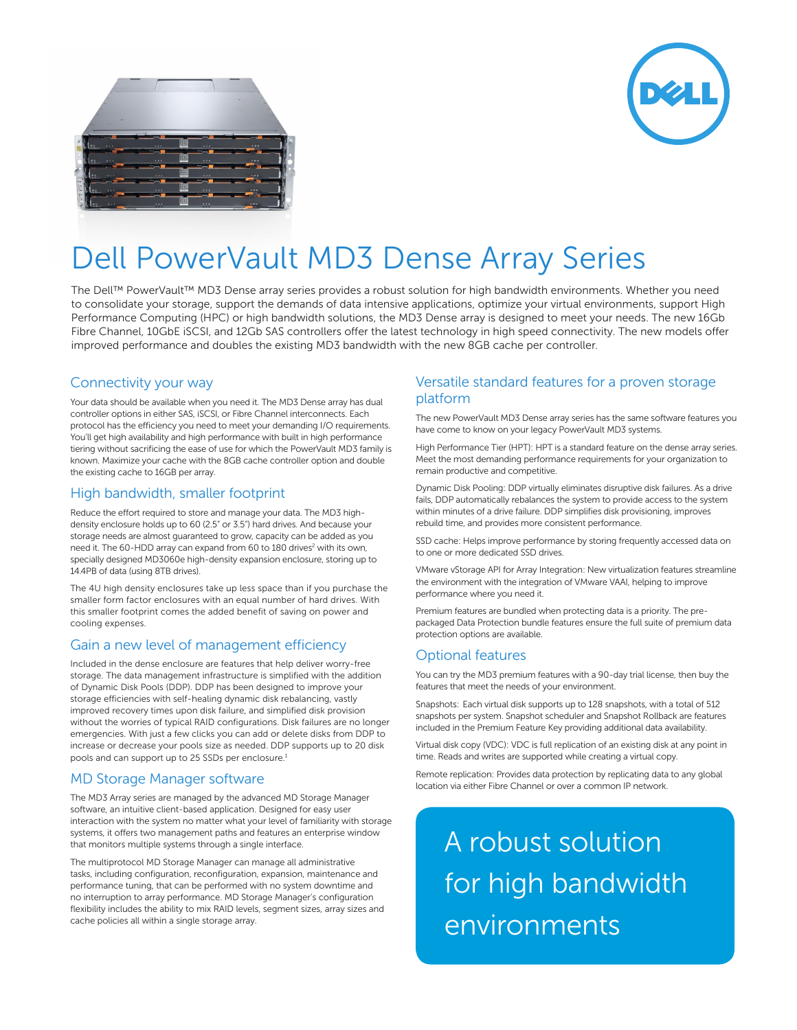



# Dell PowerVault MD3 Dense Array Series

The Dell™ PowerVault™ MD3 Dense array series provides a robust solution for high bandwidth environments. Whether you need to consolidate your storage, support the demands of data intensive applications, optimize your virtual environments, support High Performance Computing (HPC) or high bandwidth solutions, the MD3 Dense array is designed to meet your needs. The new 16Gb Fibre Channel, 10GbE iSCSI, and 12Gb SAS controllers offer the latest technology in high speed connectivity. The new models offer improved performance and doubles the existing MD3 bandwidth with the new 8GB cache per controller.

### Connectivity your way

Your data should be available when you need it. The MD3 Dense array has dual controller options in either SAS, iSCSI, or Fibre Channel interconnects. Each protocol has the efficiency you need to meet your demanding I/O requirements. You'll get high availability and high performance with built in high performance tiering without sacrificing the ease of use for which the PowerVault MD3 family is known. Maximize your cache with the 8GB cache controller option and double the existing cache to 16GB per array.

#### High bandwidth, smaller footprint

Reduce the effort required to store and manage your data. The MD3 highdensity enclosure holds up to 60 (2.5" or 3.5") hard drives. And because your storage needs are almost guaranteed to grow, capacity can be added as you need it. The 60-HDD array can expand from 60 to 180 drives<sup>2</sup> with its own, specially designed MD3060e high-density expansion enclosure, storing up to 14.4PB of data (using 8TB drives).

The 4U high density enclosures take up less space than if you purchase the smaller form factor enclosures with an equal number of hard drives. With this smaller footprint comes the added benefit of saving on power and cooling expenses.

#### Gain a new level of management efficiency

Included in the dense enclosure are features that help deliver worry-free storage. The data management infrastructure is simplified with the addition of Dynamic Disk Pools (DDP). DDP has been designed to improve your storage efficiencies with self-healing dynamic disk rebalancing, vastly improved recovery times upon disk failure, and simplified disk provision without the worries of typical RAID configurations. Disk failures are no longer emergencies. With just a few clicks you can add or delete disks from DDP to increase or decrease your pools size as needed. DDP supports up to 20 disk pools and can support up to 25 SSDs per enclosure.<sup>1</sup>

#### MD Storage Manager software

The MD3 Array series are managed by the advanced MD Storage Manager software, an intuitive client-based application. Designed for easy user interaction with the system no matter what your level of familiarity with storage systems, it offers two management paths and features an enterprise window that monitors multiple systems through a single interface.

The multiprotocol MD Storage Manager can manage all administrative tasks, including configuration, reconfiguration, expansion, maintenance and performance tuning, that can be performed with no system downtime and no interruption to array performance. MD Storage Manager's configuration flexibility includes the ability to mix RAID levels, segment sizes, array sizes and cache policies all within a single storage array.

### Versatile standard features for a proven storage platform

The new PowerVault MD3 Dense array series has the same software features you have come to know on your legacy PowerVault MD3 systems.

High Performance Tier (HPT): HPT is a standard feature on the dense array series. Meet the most demanding performance requirements for your organization to remain productive and competitive.

Dynamic Disk Pooling: DDP virtually eliminates disruptive disk failures. As a drive fails, DDP automatically rebalances the system to provide access to the system within minutes of a drive failure. DDP simplifies disk provisioning, improves rebuild time, and provides more consistent performance.

SSD cache: Helps improve performance by storing frequently accessed data on to one or more dedicated SSD drives.

VMware vStorage API for Array Integration: New virtualization features streamline the environment with the integration of VMware VAAI, helping to improve performance where you need it.

Premium features are bundled when protecting data is a priority. The prepackaged Data Protection bundle features ensure the full suite of premium data protection options are available.

#### Optional features

You can try the MD3 premium features with a 90-day trial license, then buy the features that meet the needs of your environment.

Snapshots: Each virtual disk supports up to 128 snapshots, with a total of 512 snapshots per system. Snapshot scheduler and Snapshot Rollback are features included in the Premium Feature Key providing additional data availability.

Virtual disk copy (VDC): VDC is full replication of an existing disk at any point in time. Reads and writes are supported while creating a virtual copy.

Remote replication: Provides data protection by replicating data to any global location via either Fibre Channel or over a common IP network.

A robust solution for high bandwidth environments